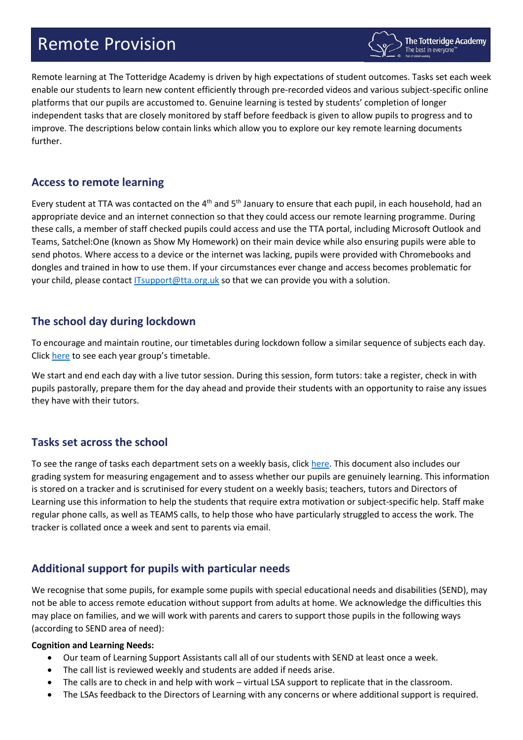# Remote Provision



Remote learning at The Totteridge Academy is driven by high expectations of student outcomes. Tasks set each week enable our students to learn new content efficiently through pre-recorded videos and various subject-specific online platforms that our pupils are accustomed to. Genuine learning is tested by students' completion of longer independent tasks that are closely monitored by staff before feedback is given to allow pupils to progress and to improve. The descriptions below contain links which allow you to explore our key remote learning documents further.

## **Access to remote learning**

Every student at TTA was contacted on the 4<sup>th</sup> and 5<sup>th</sup> January to ensure that each pupil, in each household, had an appropriate device and an internet connection so that they could access our remote learning programme. During these calls, a member of staff checked pupils could access and use the TTA portal, including Microsoft Outlook and Teams, Satchel:One (known as Show My Homework) on their main device while also ensuring pupils were able to send photos. Where access to a device or the internet was lacking, pupils were provided with Chromebooks and dongles and trained in how to use them. If your circumstances ever change and access becomes problematic for your child, please contac[t ITsupport@tta.org.uk](mailto:ITsupport@tta.org.uk) so that we can provide you with a solution.

## **The school day during lockdown**

To encourage and maintain routine, our timetables during lockdown follow a similar sequence of subjects each day. Click [here](https://mcusercontent.com/3402fa457023b69204223ef45/files/b45f22db-7c09-4bb8-8540-cce24b4fc96b/Remote_Learning_Timetables.pdf) to see each year group's timetable.

We start and end each day with a live tutor session. During this session, form tutors: take a register, check in with pupils pastorally, prepare them for the day ahead and provide their students with an opportunity to raise any issues they have with their tutors.

# **Tasks set across the school**

To see the range of tasks each department sets on a weekly basis, clic[k here.](https://mcusercontent.com/3402fa457023b69204223ef45/files/3e93beb5-15dc-45c3-a7e8-814a344bd3a8/Tasks_set_across_the_school.pdf) This document also includes our grading system for measuring engagement and to assess whether our pupils are genuinely learning. This information is stored on a tracker and is scrutinised for every student on a weekly basis; teachers, tutors and Directors of Learning use this information to help the students that require extra motivation or subject-specific help. Staff make regular phone calls, as well as TEAMS calls, to help those who have particularly struggled to access the work. The tracker is collated once a week and sent to parents via email.

# **Additional support for pupils with particular needs**

We recognise that some pupils, for example some pupils with special educational needs and disabilities (SEND), may not be able to access remote education without support from adults at home. We acknowledge the difficulties this may place on families, and we will work with parents and carers to support those pupils in the following ways (according to SEND area of need):

#### **Cognition and Learning Needs:**

- Our team of Learning Support Assistants call all of our students with SEND at least once a week.
- The call list is reviewed weekly and students are added if needs arise.
- The calls are to check in and help with work virtual LSA support to replicate that in the classroom.
- The LSAs feedback to the Directors of Learning with any concerns or where additional support is required.